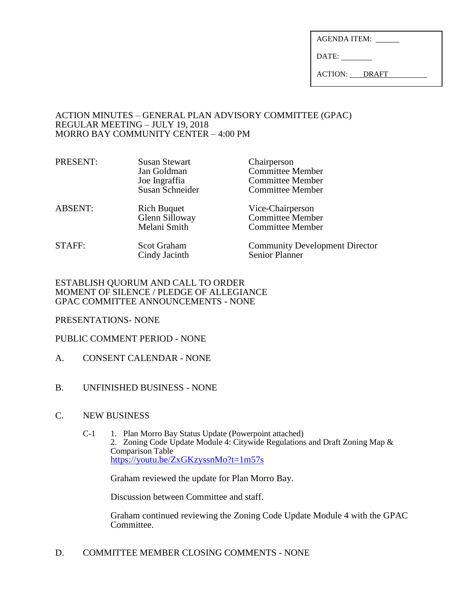| <b>AGENDA ITEM:</b> |  |
|---------------------|--|
|                     |  |

DATE:

ACTION: DRAFT

### ACTION MINUTES – GENERAL PLAN ADVISORY COMMITTEE (GPAC) REGULAR MEETING – JULY 19, 2018 MORRO BAY COMMUNITY CENTER – 4:00 PM

| PRESENT:       | <b>Susan Stewart</b><br>Jan Goldman<br>Joe Ingraffia<br>Susan Schneider | Chairperson<br><b>Committee Member</b><br><b>Committee Member</b><br><b>Committee Member</b> |
|----------------|-------------------------------------------------------------------------|----------------------------------------------------------------------------------------------|
| <b>ABSENT:</b> | <b>Rich Buquet</b><br>Glenn Silloway<br>Melani Smith                    | Vice-Chairperson<br><b>Committee Member</b><br><b>Committee Member</b>                       |
| STAFF:         | <b>Scot Graham</b><br>Cindy Jacinth                                     | <b>Community Development Director</b><br><b>Senior Planner</b>                               |

## ESTABLISH QUORUM AND CALL TO ORDER MOMENT OF SILENCE / PLEDGE OF ALLEGIANCE GPAC COMMITTEE ANNOUNCEMENTS - NONE

PRESENTATIONS- NONE

# PUBLIC COMMENT PERIOD - NONE

- A. CONSENT CALENDAR NONE
- B. UNFINISHED BUSINESS NONE
- C. NEW BUSINESS
	- C-1 1. Plan Morro Bay Status Update (Powerpoint attached) 2. Zoning Code Update Module 4: Citywide Regulations and Draft Zoning Map  $\&$ Comparison Table <https://youtu.be/ZxGKzyssnMo?t=1m57s>

Graham reviewed the update for Plan Morro Bay.

Discussion between Committee and staff.

Graham continued reviewing the Zoning Code Update Module 4 with the GPAC Committee.

D. COMMITTEE MEMBER CLOSING COMMENTS - NONE